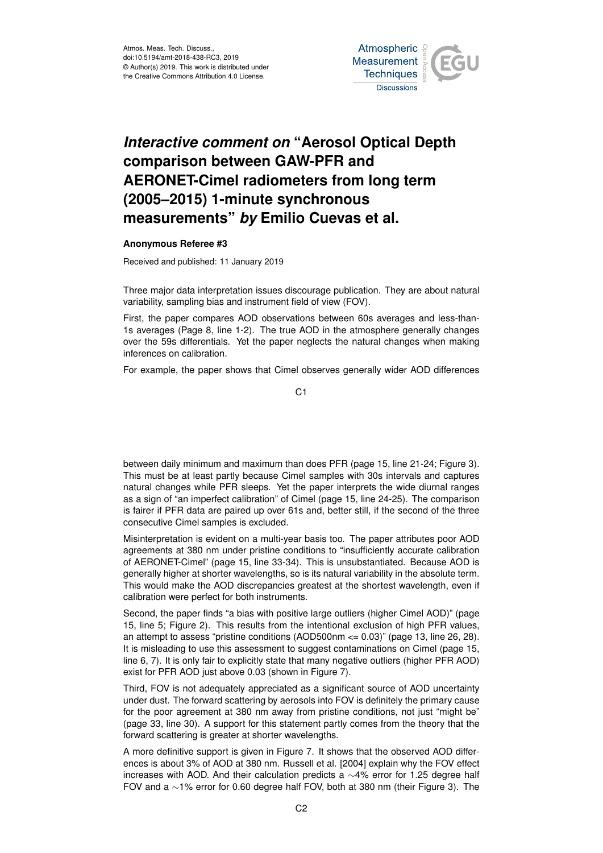Atmos. Meas. Tech. Discuss., doi:10.5194/amt-2018-438-RC3, 2019 © Author(s) 2019. This work is distributed under the Creative Commons Attribution 4.0 License.



## *Interactive comment on* **"Aerosol Optical Depth comparison between GAW-PFR and AERONET-Cimel radiometers from long term (2005–2015) 1-minute synchronous measurements"** *by* **Emilio Cuevas et al.**

## **Anonymous Referee #3**

Received and published: 11 January 2019

Three major data interpretation issues discourage publication. They are about natural variability, sampling bias and instrument field of view (FOV).

First, the paper compares AOD observations between 60s averages and less-than-1s averages (Page 8, line 1-2). The true AOD in the atmosphere generally changes over the 59s differentials. Yet the paper neglects the natural changes when making inferences on calibration.

For example, the paper shows that Cimel observes generally wider AOD differences

C1

between daily minimum and maximum than does PFR (page 15, line 21-24; Figure 3). This must be at least partly because Cimel samples with 30s intervals and captures natural changes while PFR sleeps. Yet the paper interprets the wide diurnal ranges as a sign of "an imperfect calibration" of Cimel (page 15, line 24-25). The comparison is fairer if PFR data are paired up over 61s and, better still, if the second of the three consecutive Cimel samples is excluded.

Misinterpretation is evident on a multi-year basis too. The paper attributes poor AOD agreements at 380 nm under pristine conditions to "insufficiently accurate calibration of AERONET-Cimel" (page 15, line 33-34). This is unsubstantiated. Because AOD is generally higher at shorter wavelengths, so is its natural variability in the absolute term. This would make the AOD discrepancies greatest at the shortest wavelength, even if calibration were perfect for both instruments.

Second, the paper finds "a bias with positive large outliers (higher Cimel AOD)" (page 15, line 5; Figure 2). This results from the intentional exclusion of high PFR values, an attempt to assess "pristine conditions (AOD500nm <= 0.03)" (page 13, line 26, 28). It is misleading to use this assessment to suggest contaminations on Cimel (page 15, line 6, 7). It is only fair to explicitly state that many negative outliers (higher PFR AOD) exist for PFR AOD just above 0.03 (shown in Figure 7).

Third, FOV is not adequately appreciated as a significant source of AOD uncertainty under dust. The forward scattering by aerosols into FOV is definitely the primary cause for the poor agreement at 380 nm away from pristine conditions, not just "might be" (page 33, line 30). A support for this statement partly comes from the theory that the forward scattering is greater at shorter wavelengths.

A more definitive support is given in Figure 7. It shows that the observed AOD differences is about 3% of AOD at 380 nm. Russell et al. [2004] explain why the FOV effect increases with AOD. And their calculation predicts a ∼4% error for 1.25 degree half FOV and a ∼1% error for 0.60 degree half FOV, both at 380 nm (their Figure 3). The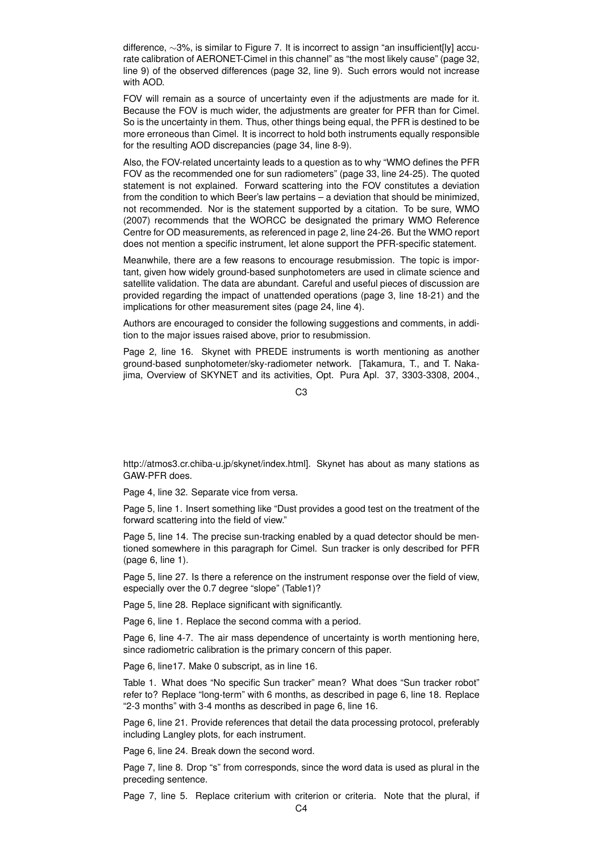difference, ∼3%, is similar to Figure 7. It is incorrect to assign "an insufficient[ly] accurate calibration of AERONET-Cimel in this channel" as "the most likely cause" (page 32, line 9) of the observed differences (page 32, line 9). Such errors would not increase with AOD.

FOV will remain as a source of uncertainty even if the adjustments are made for it. Because the FOV is much wider, the adjustments are greater for PFR than for Cimel. So is the uncertainty in them. Thus, other things being equal, the PFR is destined to be more erroneous than Cimel. It is incorrect to hold both instruments equally responsible for the resulting AOD discrepancies (page 34, line 8-9).

Also, the FOV-related uncertainty leads to a question as to why "WMO defines the PFR FOV as the recommended one for sun radiometers" (page 33, line 24-25). The quoted statement is not explained. Forward scattering into the FOV constitutes a deviation from the condition to which Beer's law pertains – a deviation that should be minimized, not recommended. Nor is the statement supported by a citation. To be sure, WMO (2007) recommends that the WORCC be designated the primary WMO Reference Centre for OD measurements, as referenced in page 2, line 24-26. But the WMO report does not mention a specific instrument, let alone support the PFR-specific statement.

Meanwhile, there are a few reasons to encourage resubmission. The topic is important, given how widely ground-based sunphotometers are used in climate science and satellite validation. The data are abundant. Careful and useful pieces of discussion are provided regarding the impact of unattended operations (page 3, line 18-21) and the implications for other measurement sites (page 24, line 4).

Authors are encouraged to consider the following suggestions and comments, in addition to the major issues raised above, prior to resubmission.

Page 2, line 16. Skynet with PREDE instruments is worth mentioning as another ground-based sunphotometer/sky-radiometer network. [Takamura, T., and T. Nakajima, Overview of SKYNET and its activities, Opt. Pura Apl. 37, 3303-3308, 2004.,

C3

http://atmos3.cr.chiba-u.jp/skynet/index.html]. Skynet has about as many stations as GAW-PFR does.

Page 4, line 32. Separate vice from versa.

Page 5, line 1. Insert something like "Dust provides a good test on the treatment of the forward scattering into the field of view."

Page 5, line 14. The precise sun-tracking enabled by a quad detector should be mentioned somewhere in this paragraph for Cimel. Sun tracker is only described for PFR (page 6, line 1).

Page 5, line 27. Is there a reference on the instrument response over the field of view, especially over the 0.7 degree "slope" (Table1)?

Page 5, line 28. Replace significant with significantly.

Page 6, line 1. Replace the second comma with a period.

Page 6, line 4-7. The air mass dependence of uncertainty is worth mentioning here, since radiometric calibration is the primary concern of this paper.

Page 6, line17. Make 0 subscript, as in line 16.

Table 1. What does "No specific Sun tracker" mean? What does "Sun tracker robot" refer to? Replace "long-term" with 6 months, as described in page 6, line 18. Replace "2-3 months" with 3-4 months as described in page 6, line 16.

Page 6, line 21. Provide references that detail the data processing protocol, preferably including Langley plots, for each instrument.

Page 6, line 24. Break down the second word.

Page 7, line 8. Drop "s" from corresponds, since the word data is used as plural in the preceding sentence.

Page 7, line 5. Replace criterium with criterion or criteria. Note that the plural, if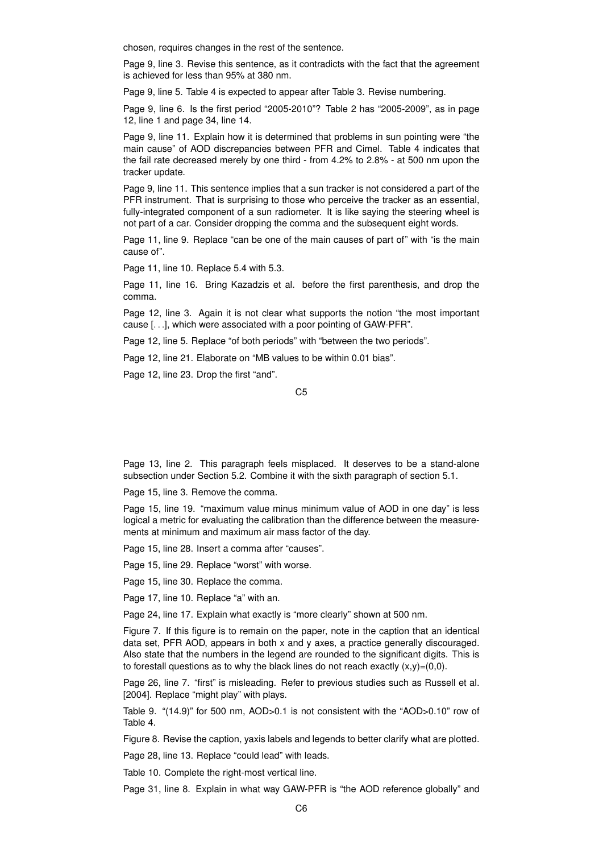chosen, requires changes in the rest of the sentence.

Page 9, line 3. Revise this sentence, as it contradicts with the fact that the agreement is achieved for less than 95% at 380 nm.

Page 9, line 5. Table 4 is expected to appear after Table 3. Revise numbering.

Page 9, line 6. Is the first period "2005-2010"? Table 2 has "2005-2009", as in page 12, line 1 and page 34, line 14.

Page 9, line 11. Explain how it is determined that problems in sun pointing were "the main cause" of AOD discrepancies between PFR and Cimel. Table 4 indicates that the fail rate decreased merely by one third - from 4.2% to 2.8% - at 500 nm upon the tracker update.

Page 9, line 11. This sentence implies that a sun tracker is not considered a part of the PFR instrument. That is surprising to those who perceive the tracker as an essential, fully-integrated component of a sun radiometer. It is like saying the steering wheel is not part of a car. Consider dropping the comma and the subsequent eight words.

Page 11, line 9. Replace "can be one of the main causes of part of" with "is the main cause of".

Page 11, line 10. Replace 5.4 with 5.3.

Page 11, line 16. Bring Kazadzis et al. before the first parenthesis, and drop the comma.

Page 12, line 3. Again it is not clear what supports the notion "the most important cause [. . .], which were associated with a poor pointing of GAW-PFR".

Page 12, line 5. Replace "of both periods" with "between the two periods".

Page 12, line 21. Elaborate on "MB values to be within 0.01 bias".

Page 12, line 23. Drop the first "and".

Page 13, line 2. This paragraph feels misplaced. It deserves to be a stand-alone subsection under Section 5.2. Combine it with the sixth paragraph of section 5.1.

Page 15, line 3. Remove the comma.

Page 15, line 19. "maximum value minus minimum value of AOD in one day" is less logical a metric for evaluating the calibration than the difference between the measurements at minimum and maximum air mass factor of the day.

Page 15, line 28. Insert a comma after "causes".

Page 15, line 29. Replace "worst" with worse.

Page 15, line 30. Replace the comma.

Page 17, line 10. Replace "a" with an.

Page 24, line 17. Explain what exactly is "more clearly" shown at 500 nm.

Figure 7. If this figure is to remain on the paper, note in the caption that an identical data set, PFR AOD, appears in both x and y axes, a practice generally discouraged. Also state that the numbers in the legend are rounded to the significant digits. This is to forestall questions as to why the black lines do not reach exactly  $(x,y)=(0,0)$ .

Page 26, line 7. "first" is misleading. Refer to previous studies such as Russell et al. [2004]. Replace "might play" with plays.

Table 9. "(14.9)" for 500 nm, AOD>0.1 is not consistent with the "AOD>0.10" row of Table 4.

Figure 8. Revise the caption, yaxis labels and legends to better clarify what are plotted.

Page 28, line 13. Replace "could lead" with leads.

Table 10. Complete the right-most vertical line.

Page 31, line 8. Explain in what way GAW-PFR is "the AOD reference globally" and

C5